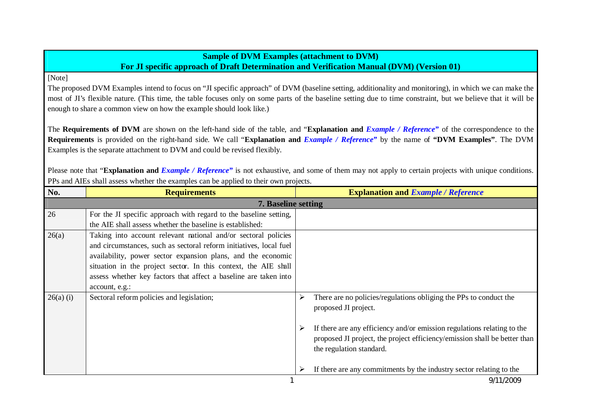## **Sample of DVM Examples (attachment to DVM) For JI specific approach of Draft Determination and Verification Manual (DVM) (Version 01)**

[Note]

The proposed DVM Examples intend to focus on "JI specific approach" of DVM (baseline setting, additionality and monitoring), in which we can make the most of JI's flexible nature. (This time, the table focuses only on some parts of the baseline setting due to time constraint, but we believe that it will be enough to share a common view on how the example should look like.)

The **Requirements of DVM** are shown on the left-hand side of the table, and "**Explanation and** *Example / Reference"* of the correspondence to the **Requirements** is provided on the right-hand side. We call "**Explanation and** *Example / Reference"* by the name of **"DVM Examples"**. The DVM Examples is the separate attachment to DVM and could be revised flexibly.

Please note that "**Explanation and** *Example / Reference*" is not exhaustive, and some of them may not apply to certain projects with unique conditions. PPs and AIEs shall assess whether the examples can be applied to their own projects.

| No.                        | <b>Requirements</b>                                                                                                                                                                                                                                                                                                                                           | <b>Explanation and Example / Reference</b>                                                                                                                                                                                                                                         |  |  |
|----------------------------|---------------------------------------------------------------------------------------------------------------------------------------------------------------------------------------------------------------------------------------------------------------------------------------------------------------------------------------------------------------|------------------------------------------------------------------------------------------------------------------------------------------------------------------------------------------------------------------------------------------------------------------------------------|--|--|
| <b>7. Baseline setting</b> |                                                                                                                                                                                                                                                                                                                                                               |                                                                                                                                                                                                                                                                                    |  |  |
| 26                         | For the JI specific approach with regard to the baseline setting,                                                                                                                                                                                                                                                                                             |                                                                                                                                                                                                                                                                                    |  |  |
|                            | the AIE shall assess whether the baseline is established:                                                                                                                                                                                                                                                                                                     |                                                                                                                                                                                                                                                                                    |  |  |
| 26(a)                      | Taking into account relevant national and/or sectoral policies<br>and circumstances, such as sectoral reform initiatives, local fuel<br>availability, power sector expansion plans, and the economic<br>situation in the project sector. In this context, the AIE shall<br>assess whether key factors that affect a baseline are taken into<br>account, e.g.: |                                                                                                                                                                                                                                                                                    |  |  |
| $26(a)$ (i)                | Sectoral reform policies and legislation;                                                                                                                                                                                                                                                                                                                     | There are no policies/regulations obliging the PPs to conduct the<br>➤<br>proposed JI project.<br>If there are any efficiency and/or emission regulations relating to the<br>proposed JI project, the project efficiency/emission shall be better than<br>the regulation standard. |  |  |
|                            |                                                                                                                                                                                                                                                                                                                                                               | If there are any commitments by the industry sector relating to the                                                                                                                                                                                                                |  |  |
|                            |                                                                                                                                                                                                                                                                                                                                                               | 9/11/2009                                                                                                                                                                                                                                                                          |  |  |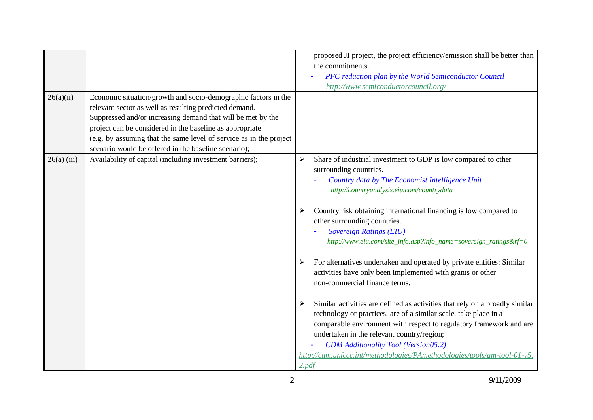|               |                                                                                                                                                                                                                                                                                                                                                                                   | proposed JI project, the project efficiency/emission shall be better than<br>the commitments.<br>PFC reduction plan by the World Semiconductor Council<br>http://www.semiconductorcouncil.org/                                                                                                                                                                                                                                                                                                                                                                                                                                                                                                                                                                                                                                                                                                                                                                                                           |
|---------------|-----------------------------------------------------------------------------------------------------------------------------------------------------------------------------------------------------------------------------------------------------------------------------------------------------------------------------------------------------------------------------------|----------------------------------------------------------------------------------------------------------------------------------------------------------------------------------------------------------------------------------------------------------------------------------------------------------------------------------------------------------------------------------------------------------------------------------------------------------------------------------------------------------------------------------------------------------------------------------------------------------------------------------------------------------------------------------------------------------------------------------------------------------------------------------------------------------------------------------------------------------------------------------------------------------------------------------------------------------------------------------------------------------|
| 26(a)(ii)     | Economic situation/growth and socio-demographic factors in the<br>relevant sector as well as resulting predicted demand.<br>Suppressed and/or increasing demand that will be met by the<br>project can be considered in the baseline as appropriate<br>(e.g. by assuming that the same level of service as in the project<br>scenario would be offered in the baseline scenario); |                                                                                                                                                                                                                                                                                                                                                                                                                                                                                                                                                                                                                                                                                                                                                                                                                                                                                                                                                                                                          |
| $26(a)$ (iii) | Availability of capital (including investment barriers);                                                                                                                                                                                                                                                                                                                          | Share of industrial investment to GDP is low compared to other<br>➤<br>surrounding countries.<br>Country data by The Economist Intelligence Unit<br>http://countryanalysis.eiu.com/countrydata<br>Country risk obtaining international financing is low compared to<br>other surrounding countries.<br><b>Sovereign Ratings (EIU)</b><br>http://www.eiu.com/site_info.asp?info_name=sovereign_ratings&rf=0<br>For alternatives undertaken and operated by private entities: Similar<br>➤<br>activities have only been implemented with grants or other<br>non-commercial finance terms.<br>Similar activities are defined as activities that rely on a broadly similar<br>➤<br>technology or practices, are of a similar scale, take place in a<br>comparable environment with respect to regulatory framework and are<br>undertaken in the relevant country/region;<br><b>CDM</b> Additionality Tool (Version05.2)<br>http://cdm.unfccc.int/methodologies/PAmethodologies/tools/am-tool-01-v5.<br>2.pdf |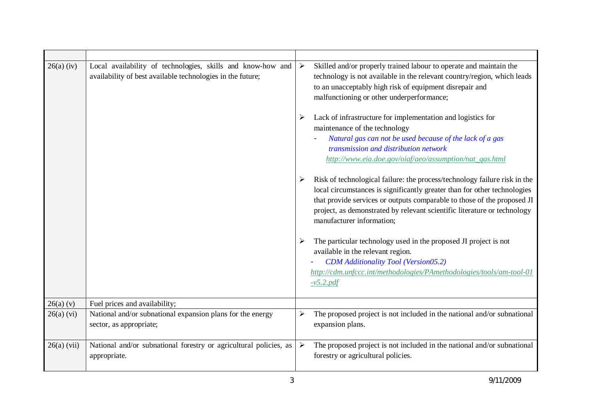| $26(a)$ (iv)  | Local availability of technologies, skills and know-how and<br>availability of best available technologies in the future; | $\blacktriangleright$ | Skilled and/or properly trained labour to operate and maintain the<br>technology is not available in the relevant country/region, which leads<br>to an unacceptably high risk of equipment disrepair and<br>malfunctioning or other underperformance;                                                                                     |
|---------------|---------------------------------------------------------------------------------------------------------------------------|-----------------------|-------------------------------------------------------------------------------------------------------------------------------------------------------------------------------------------------------------------------------------------------------------------------------------------------------------------------------------------|
|               |                                                                                                                           | ➤                     | Lack of infrastructure for implementation and logistics for<br>maintenance of the technology                                                                                                                                                                                                                                              |
|               |                                                                                                                           |                       | Natural gas can not be used because of the lack of a gas<br>transmission and distribution network<br>http://www.eia.doe.gov/oiaf/aeo/assumption/nat_gas.html                                                                                                                                                                              |
|               |                                                                                                                           | ➤                     | Risk of technological failure: the process/technology failure risk in the<br>local circumstances is significantly greater than for other technologies<br>that provide services or outputs comparable to those of the proposed JI<br>project, as demonstrated by relevant scientific literature or technology<br>manufacturer information; |
|               |                                                                                                                           |                       | The particular technology used in the proposed JI project is not<br>available in the relevant region.<br><b>CDM</b> Additionality Tool (Version05.2)<br>http://cdm.unfccc.int/methodologies/PAmethodologies/tools/am-tool-01<br>$-v5.2.pdf$                                                                                               |
| 26(a) (v)     | Fuel prices and availability;                                                                                             |                       |                                                                                                                                                                                                                                                                                                                                           |
| $26(a)$ (vi)  | National and/or subnational expansion plans for the energy<br>sector, as appropriate;                                     | $\blacktriangleright$ | The proposed project is not included in the national and/or subnational<br>expansion plans.                                                                                                                                                                                                                                               |
| $26(a)$ (vii) | National and/or subnational forestry or agricultural policies, as<br>appropriate.                                         | ➤                     | The proposed project is not included in the national and/or subnational<br>forestry or agricultural policies.                                                                                                                                                                                                                             |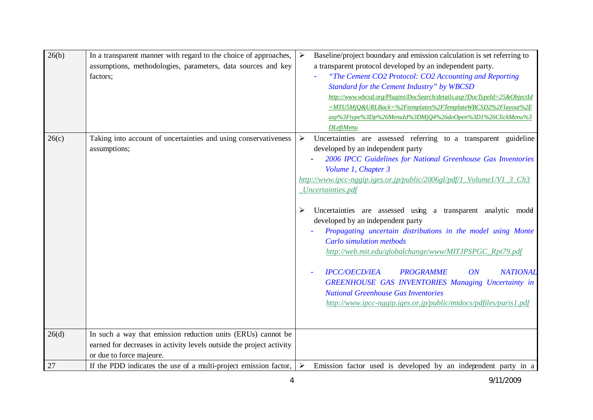| 26(b) | In a transparent manner with regard to the choice of approaches,<br>assumptions, methodologies, parameters, data sources and key<br>factors; | Baseline/project boundary and emission calculation is set referring to<br>$\blacktriangleright$<br>a transparent protocol developed by an independent party.<br>"The Cement CO2 Protocol: CO2 Accounting and Reporting<br>Standard for the Cement Industry" by WBCSD<br>http://www.wbcsd.org/Plugins/DocSearch/details.asp?DocTypeId=25&ObjectId<br>=MTU5MjQ&URLBack=%2Ftemplates%2FTemplateWBCSD2%2Flayout%2E<br>asp%3Ftype%3Dp%26MenuId%3DMjQ4%26doOpen%3D1%26ClickMenu%3<br><b>DLeftMenu</b>                                                                                                                                                                                                                                                                                                                         |
|-------|----------------------------------------------------------------------------------------------------------------------------------------------|-------------------------------------------------------------------------------------------------------------------------------------------------------------------------------------------------------------------------------------------------------------------------------------------------------------------------------------------------------------------------------------------------------------------------------------------------------------------------------------------------------------------------------------------------------------------------------------------------------------------------------------------------------------------------------------------------------------------------------------------------------------------------------------------------------------------------|
| 26(c) | Taking into account of uncertainties and using conservativeness<br>assumptions;                                                              | Uncertainties are assessed referring to a transparent guideline<br>➤<br>developed by an independent party<br>2006 IPCC Guidelines for National Greenhouse Gas Inventories<br>Volume 1, Chapter 3<br>http://www.ipcc-nggip.iges.or.jp/public/2006gl/pdf/1_Volume1/V1_3_Ch3<br>Uncertainties.pdf<br>Uncertainties are assessed using a transparent analytic model<br>developed by an independent party<br>Propagating uncertain distributions in the model using Monte<br><b>Carlo simulation methods</b><br>http://web.mit.edu/globalchange/www/MITJPSPGC_Rpt79.pdf<br><b>NATIONAL</b><br><b>IPCC/OECD/IEA</b><br><b>PROGRAMME</b><br>ON<br><b>GREENHOUSE GAS INVENTORIES Managing Uncertainty in</b><br><b>National Greenhouse Gas Inventories</b><br>http://www.ipcc-nggip.iges.or.jp/public/mtdocs/pdfiles/paris1.pdf |
| 26(d) | In such a way that emission reduction units (ERUs) cannot be                                                                                 |                                                                                                                                                                                                                                                                                                                                                                                                                                                                                                                                                                                                                                                                                                                                                                                                                         |
|       | earned for decreases in activity levels outside the project activity<br>or due to force majeure.                                             |                                                                                                                                                                                                                                                                                                                                                                                                                                                                                                                                                                                                                                                                                                                                                                                                                         |
| 27    | If the PDD indicates the use of a multi-project emission factor,                                                                             | Emission factor used is developed by an independent party in a<br>➤                                                                                                                                                                                                                                                                                                                                                                                                                                                                                                                                                                                                                                                                                                                                                     |